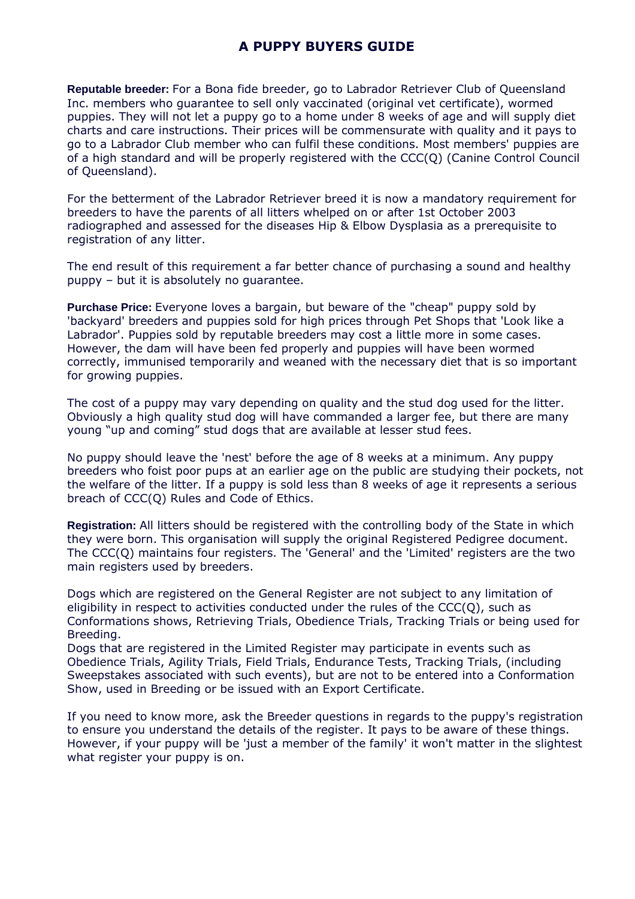## **A PUPPY BUYERS GUIDE**

**Reputable breeder:** For a Bona fide breeder, go to Labrador Retriever Club of Queensland Inc. members who guarantee to sell only vaccinated (original vet certificate), wormed puppies. They will not let a puppy go to a home under 8 weeks of age and will supply diet charts and care instructions. Their prices will be commensurate with quality and it pays to go to a Labrador Club member who can fulfil these conditions. Most members' puppies are of a high standard and will be properly registered with the CCC(Q) (Canine Control Council of Queensland).

For the betterment of the Labrador Retriever breed it is now a mandatory requirement for breeders to have the parents of all litters whelped on or after 1st October 2003 radiographed and assessed for the diseases Hip & Elbow Dysplasia as a prerequisite to registration of any litter.

The end result of this requirement a far better chance of purchasing a sound and healthy puppy – but it is absolutely no guarantee.

**Purchase Price:** Everyone loves a bargain, but beware of the "cheap" puppy sold by 'backyard' breeders and puppies sold for high prices through Pet Shops that 'Look like a Labrador'. Puppies sold by reputable breeders may cost a little more in some cases. However, the dam will have been fed properly and puppies will have been wormed correctly, immunised temporarily and weaned with the necessary diet that is so important for growing puppies.

The cost of a puppy may vary depending on quality and the stud dog used for the litter. Obviously a high quality stud dog will have commanded a larger fee, but there are many young "up and coming" stud dogs that are available at lesser stud fees.

No puppy should leave the 'nest' before the age of 8 weeks at a minimum. Any puppy breeders who foist poor pups at an earlier age on the public are studying their pockets, not the welfare of the litter. If a puppy is sold less than 8 weeks of age it represents a serious breach of CCC(Q) Rules and Code of Ethics.

**Registration:** All litters should be registered with the controlling body of the State in which they were born. This organisation will supply the original Registered Pedigree document. The CCC(Q) maintains four registers. The 'General' and the 'Limited' registers are the two main registers used by breeders.

Dogs which are registered on the General Register are not subject to any limitation of eligibility in respect to activities conducted under the rules of the CCC(Q), such as Conformations shows, Retrieving Trials, Obedience Trials, Tracking Trials or being used for Breeding.

Dogs that are registered in the Limited Register may participate in events such as Obedience Trials, Agility Trials, Field Trials, Endurance Tests, Tracking Trials, (including Sweepstakes associated with such events), but are not to be entered into a Conformation Show, used in Breeding or be issued with an Export Certificate.

If you need to know more, ask the Breeder questions in regards to the puppy's registration to ensure you understand the details of the register. It pays to be aware of these things. However, if your puppy will be 'just a member of the family' it won't matter in the slightest what register your puppy is on.